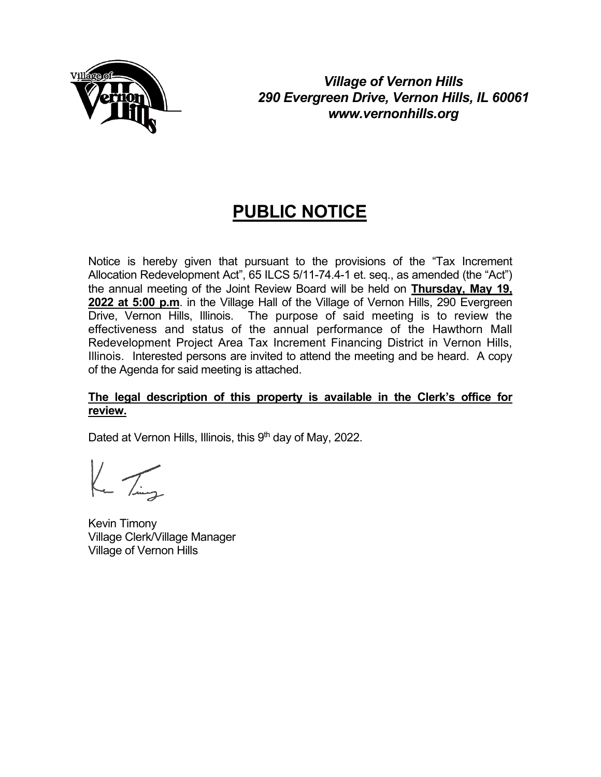

*Village of Vernon Hills 290 Evergreen Drive, Vernon Hills, IL 60061 www.vernonhills.org*

# **PUBLIC NOTICE**

Notice is hereby given that pursuant to the provisions of the "Tax Increment Allocation Redevelopment Act", 65 ILCS 5/11-74.4-1 et. seq., as amended (the "Act") the annual meeting of the Joint Review Board will be held on **Thursday, May 19, 2022 at 5:00 p.m**. in the Village Hall of the Village of Vernon Hills, 290 Evergreen Drive, Vernon Hills, Illinois. The purpose of said meeting is to review the effectiveness and status of the annual performance of the Hawthorn Mall Redevelopment Project Area Tax Increment Financing District in Vernon Hills, Illinois. Interested persons are invited to attend the meeting and be heard. A copy of the Agenda for said meeting is attached.

## **The legal description of this property is available in the Clerk's office for review.**

Dated at Vernon Hills, Illinois, this  $9<sup>th</sup>$  day of May, 2022.

 $k_{\rm m}$  Ting

Kevin Timony Village Clerk/Village Manager Village of Vernon Hills